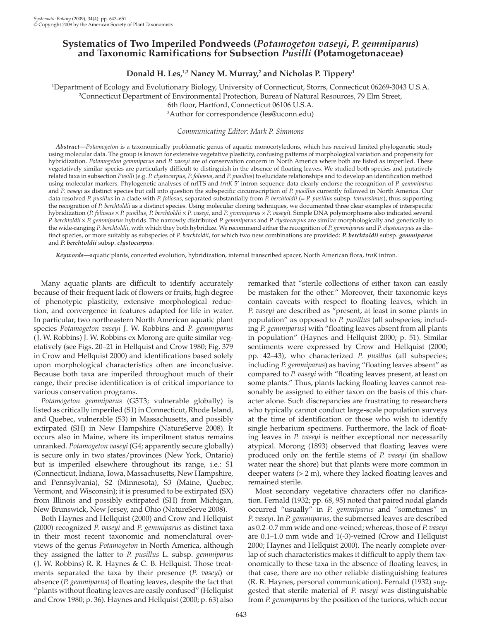# **Systematics of Two Imperiled Pondweeds (** *Potamogeton vaseyi* **,** *P. gemmiparus* **) and Taxonomic Ramifications for Subsection** *Pusilli* **(Potamogetonaceae)**

# Donald H. Les,<sup>1,3</sup> Nancy M. Murray,<sup>2</sup> and Nicholas P. Tippery<sup>1</sup>

1 Department of Ecology and Evolutionary Biology, University of Connecticut, Storrs, Connecticut 06269-3043 U.S.A. 2 Connecticut Department of Environmental Protection, Bureau of Natural Resources, 79 Elm Street,

6th floor, Hartford, Connecticut 06106 U.S.A.

<sup>3</sup>Author for correspondence (les@uconn.edu)

## *Communicating Editor: Mark P. Simmons*

 *Abstract—Potamogeton* is a taxonomically problematic genus of aquatic monocotyledons, which has received limited phylogenetic study using molecular data. The group is known for extensive vegetative plasticity, confusing patterns of morphological variation and propensity for hybridization. *Potamogeton gemmiparus* and *P. vaseyi* are of conservation concern in North America where both are listed as imperiled. These vegetatively similar species are particularly difficult to distinguish in the absence of floating leaves. We studied both species and putatively related taxa in subsection *Pusilli* (e.g. *P. clystocarpus* , *P. foliosus* , and *P. pusillus* ) to elucidate relationships and to develop an identification method using molecular markers. Phylogenetic analyses of nrITS and *trnK* 5′ intron sequence data clearly endorse the recognition of *P. gemmiparus* and *P. vaseyi* as distinct species but call into question the subspecific circumscription of *P. pusillus* currently followed in North America. Our data resolved *P. pusillus* in a clade with *P. foliosus* , separated substantially from *P. berchtoldii* (= *P. pusillus* subsp. *tenuissimus* ), thus supporting the recognition of *P. berchtoldii* as a distinct species. Using molecular cloning techniques, we documented three clear examples of interspecific hybridization ( *P. foliosus* × *P. pusillus* , *P. berchtoldii* × *P. vaseyi* , and *P. gemmiparus* × *P. vaseyi*). Simple DNA polymorphisms also indicated several *P. berchtoldii* × *P. gemmiparus* hybrids. The narrowly distributed *P. gemmiparus* and *P. clystocarpus* are similar morphologically and genetically to the wide-ranging *P. berchtoldii* , with which they both hybridize. We recommend either the recognition of *P. gemmiparus* and *P. clystocarpus* as distinct species, or more suitably as subspecies of *P. berchtoldii* , for which two new combinations are provided: *P. berchtoldii* subsp. *gemmiparus* and *P. berchtoldii* subsp. *clystocarpus* .

Keywords—aquatic plants, concerted evolution, hybridization, internal transcribed spacer, North American flora, trnK intron.

 Many aquatic plants are difficult to identify accurately because of their frequent lack of flowers or fruits, high degree of phenotypic plasticity, extensive morphological reduction, and convergence in features adapted for life in water. In particular, two northeastern North American aquatic plant species *Potamogeton vaseyi* J. W. Robbins and *P. gemmiparus* ( J. W. Robbins) J. W. Robbins ex Morong are quite similar vegetatively (see Figs. 20–21 in Hellquist and Crow 1980; Fig. 379 in Crow and Hellquist 2000) and identifications based solely upon morphological characteristics often are inconclusive. Because both taxa are imperiled throughout much of their range, their precise identification is of critical importance to various conservation programs.

*Potamogeton gemmiparus* (G5T3; vulnerable globally) is listed as critically imperiled (S1) in Connecticut, Rhode Island, and Quebec, vulnerable (S3) in Massachusetts, and possibly extirpated (SH) in New Hampshire (NatureServe 2008). It occurs also in Maine, where its imperilment status remains unranked. *Potamogeton vaseyi* (G4; apparently secure globally) is secure only in two states/provinces (New York, Ontario) but is imperiled elsewhere throughout its range, i.e.: S1 (Connecticut, Indiana, Iowa, Massachusetts, New Hampshire, and Pennsylvania), S2 (Minnesota), S3 (Maine, Quebec, Vermont, and Wisconsin); it is presumed to be extirpated (SX) from Illinois and possibly extirpated (SH) from Michigan, New Brunswick, New Jersey, and Ohio (NatureServe 2008).

Both Haynes and Hellquist (2000) and Crow and Hellquist (2000) recognized *P. vaseyi* and *P. gemmiparus* as distinct taxa in their most recent taxonomic and nomenclatural overviews of the genus *Potamogeton* in North America, although they assigned the latter to *P. pusillus* L. subsp. *gemmiparus* ( J. W. Robbins) R. R. Haynes & C. B. Hellquist. Those treatments separated the taxa by their presence (*P. vaseyi*) or absence (P. gemmiparus) of floating leaves, despite the fact that "plants without floating leaves are easily confused" (Hellquist and Crow 1980; p. 36). Haynes and Hellquist (2000; p. 63) also

remarked that "sterile collections of either taxon can easily be mistaken for the other." Moreover, their taxonomic keys contain caveats with respect to floating leaves, which in *P. vaseyi* are described as "present, at least in some plants in population" as opposed to *P. pusillus* (all subspecies; including *P. gemmiparus* ) with "floating leaves absent from all plants in population" (Haynes and Hellquist 2000; p. 51). Similar sentiments were expressed by Crow and Hellquist (2000; pp. 42–43), who characterized *P. pusillus* (all subspecies; including *P. gemmiparus*) as having "floating leaves absent" as compared to *P. vaseyi* with "floating leaves present, at least on some plants." Thus, plants lacking floating leaves cannot reasonably be assigned to either taxon on the basis of this character alone. Such discrepancies are frustrating to researchers who typically cannot conduct large-scale population surveys at the time of identification or those who wish to identify single herbarium specimens. Furthermore, the lack of floating leaves in *P. vaseyi* is neither exceptional nor necessarily atypical. Morong (1893) observed that floating leaves were produced only on the fertile stems of *P. vaseyi* (in shallow water near the shore) but that plants were more common in deeper waters (> 2 m), where they lacked floating leaves and remained sterile.

 Most secondary vegetative characters offer no clarification. Fernald (1932; pp. 68, 95) noted that paired nodal glands occurred "usually" in *P. gemmiparus* and "sometimes" in *P. vaseyi* . In *P. gemmiparus* , the submersed leaves are described as 0.2–0.7 mm wide and one-veined; whereas, those of *P. vaseyi* are  $0.1-1.0$  mm wide and  $1(-3)$ -veined (Crow and Hellquist 2000; Haynes and Hellquist 2000). The nearly complete overlap of such characteristics makes it difficult to apply them taxonomically to these taxa in the absence of floating leaves; in that case, there are no other reliable distinguishing features (R. R. Haynes, personal communication). Fernald (1932) suggested that sterile material of *P. vaseyi* was distinguishable from *P. gemmiparus* by the position of the turions, which occur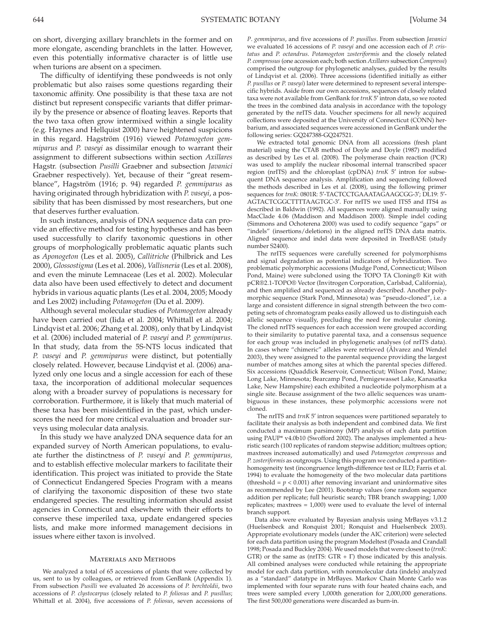on short, diverging axillary branchlets in the former and on more elongate, ascending branchlets in the latter. However, even this potentially informative character is of little use when turions are absent on a specimen.

 The difficulty of identifying these pondweeds is not only problematic but also raises some questions regarding their taxonomic affinity. One possibility is that these taxa are not distinct but represent conspecific variants that differ primarily by the presence or absence of floating leaves. Reports that the two taxa often grow intermixed within a single locality (e.g. Haynes and Hellquist 2000 ) have heightened suspicions in this regard. Hagström (1916) viewed *Potamogeton gemmiparus* and *P. vaseyi* as dissimilar enough to warrant their assignment to different subsections within section *Axillares* Hagstr. (subsection *Pusilli* Graebner and subsection *Javanici* Graebner respectively). Yet, because of their "great resemblance", Hagström (1916; p. 94) regarded *P. gemmiparus* as having originated through hybridization with *P. vaseyi* , a possibility that has been dismissed by most researchers, but one that deserves further evaluation.

 In such instances, analysis of DNA sequence data can provide an effective method for testing hypotheses and has been used successfully to clarify taxonomic questions in other groups of morphologically problematic aquatic plants such as *Aponogeton* (Les et al. 2005), *Callitriche* (Philbrick and Les 2000 ), *Glossostigma* ( Les et al. 2006 ), *Vallisneria* ( Les et al. 2008 ), and even the minute Lemnaceae (Les et al. 2002). Molecular data also have been used effectively to detect and document hybrids in various aquatic plants (Les et al. 2004, 2005; Moody and Les 2002) including *Potamogeton* (Du et al. 2009).

 Although several molecular studies of *Potamogeton* already have been carried out (Iida et al. 2004; Whittall et al. 2004; Lindqvist et al. 2006; Zhang et al. 2008), only that by Lindqvist et al. (2006) included material of *P. vaseyi* and *P. gemmiparus* . In that study, data from the 5S-NTS locus indicated that *P. vaseyi* and *P. gemmiparus* were distinct, but potentially closely related. However, because Lindqvist et al. (2006) analyzed only one locus and a single accession for each of these taxa, the incorporation of additional molecular sequences along with a broader survey of populations is necessary for corroboration. Furthermore, it is likely that much material of these taxa has been misidentified in the past, which underscores the need for more critical evaluation and broader surveys using molecular data analysis.

 In this study we have analyzed DNA sequence data for an expanded survey of North American populations, to evaluate further the distinctness of *P. vaseyi* and *P. gemmiparus,* and to establish effective molecular markers to facilitate their identification. This project was initiated to provide the State of Connecticut Endangered Species Program with a means of clarifying the taxonomic disposition of these two state endangered species. The resulting information should assist agencies in Connecticut and elsewhere with their efforts to conserve these imperiled taxa, update endangered species lists, and make more informed management decisions in issues where either taxon is involved.

## Materials and Methods

 We analyzed a total of 65 accessions of plants that were collected by us, sent to us by colleagues, or retrieved from GenBank (Appendix 1). From subsection *Pusilli* we evaluated 26 accessions of *P. berchtoldii* , two accessions of *P. clystocarpus* (closely related to *P. foliosus* and *P. pusillus* ; Whittall et al. 2004), five accessions of *P. foliosus*, seven accessions of

*P* . *gemmiparus* , and five accessions of *P. pusillus* . From subsection *Javanici* we evaluated 16 accessions of *P. vaseyi* and one accession each of *P. cristatus* and *P. octandrus* . *Potamogeton zosteriformis* and the closely related *P. compressus* (one accession each; both section *Axillares* subsection *Compressi* ) comprised the outgroup for phylogenetic analyses, guided by the results of Lindqvist et al. (2006). Three accessions (identified initially as either *P. pusillus* or *P. vaseyi* ) later were determined to represent several interspecific hybrids. Aside from our own accessions, sequences of closely related taxa were not available from GenBank for *trnK* 5′ intron data, so we rooted the trees in the combined data analysis in accordance with the topology generated by the nrITS data. Voucher specimens for all newly acquired collections were deposited at the University of Connecticut (CONN) herbarium, and associated sequences were accessioned in GenBank under the following series: GQ247388-GQ247521.

 We extracted total genomic DNA from all accessions (fresh plant material) using the CTAB method of Doyle and Doyle (1987) modified as described by Les et al. (2008). The polymerase chain reaction (PCR) was used to amplify the nuclear ribosomal internal transcribed spacer region (nrITS) and the chloroplast (cpDNA) *trnK* 5′ intron for subsequent DNA sequence analysis. Amplification and sequencing followed the methods described in Les et al. (2008), using the following primer sequences for *trnK*: 0801R: 5'-TACTCCTGAAATAGAAGCGG-3'; DL19: 5'-AGTACTCGGCTTTTAAGTGC-3′. For nrITS we used ITS5 and ITS4 as described in Baldwin (1992). All sequences were aligned manually using MacClade 4.06 (Maddison and Maddison 2000). Simple indel coding (Simmons and Ochoterena 2000) was used to codify sequence "gaps" or "indels" (insertions/deletions) in the aligned nrITS DNA data matrix. Aligned sequence and indel data were deposited in TreeBASE (study number S2400).

 The nrITS sequences were carefully screened for polymorphisms and signal degradation as potential indicators of hybridization. Two problematic polymorphic accessions (Mudge Pond, Connecticut; Wilson Pond, Maine) were subcloned using the TOPO TA Cloning® Kit with pCR®2.1-TOPO® Vector (Invitrogen Corporation, Carlsbad, California), and then amplified and sequenced as already described. Another polymorphic sequence (Stark Pond, Minnesota) was "pseudo-cloned", i.e. a large and consistent difference in signal strength between the two competing sets of chromatogram peaks easily allowed us to distinguish each allelic sequence visually, precluding the need for molecular cloning. The cloned nrITS sequences for each accession were grouped according to their similarity to putative parental taxa, and a consensus sequence for each group was included in phylogenetic analyses (of nrITS data). In cases where "chimeric" alleles were retrieved ( Álvarez and Wendel 2003), they were assigned to the parental sequence providing the largest number of matches among sites at which the parental species differed. Six accessions (Quaddick Reservoir, Connecticut; Wilson Pond, Maine; Long Lake, Minnesota; Bearcamp Pond, Pemigewasset Lake, Kanasatka Lake, New Hampshire) each exhibited a nucleotide polymorphism at a single site. Because assignment of the two allelic sequences was unambiguous in these instances, these polymorphic accessions were not cloned.

 The nrITS and *trnK* 5′ intron sequences were partitioned separately to facilitate their analysis as both independent and combined data. We first conducted a maximum parsimony (MP) analysis of each data partition using PAUP\* v4.0b10 (Swofford 2002). The analyses implemented a heuristic search (100 replicates of random stepwise addition; multrees option; maxtrees increased automatically) and used *Potamogeton compressus* and *P. zosteriformis* as outgroups. Using this program we conducted a partitionhomogeneity test (incongruence length-difference test or ILD; Farris et al. 1994) to evaluate the homogeneity of the two molecular data partitions (threshold  $= p < 0.001$ ) after removing invariant and uninformative sites as recommended by Lee (2001) . Bootstrap values (one random sequence addition per replicate; full heuristic search; TBR branch swapping; 1,000 replicates; maxtrees = 1,000) were used to evaluate the level of internal branch support.

 Data also were evaluated by Bayesian analysis using MrBayes v3.1.2 (Huelsenbeck and Ronquist 2001; Ronquist and Huelsenbeck 2003). Appropriate evolutionary models (under the AIC criterion) were selected for each data partition using the program Modeltest (Posada and Crandall 1998; Posada and Buckley 2004). We used models that were closest to (trnK: GTR) or the same as (nrITS: GTR +  $\Gamma$ ) those indicated by this analysis. All combined analyses were conducted while retaining the appropriate model for each data partition, with nonmolecular data (indels) analyzed as a "standard" datatype in MrBayes. Markov Chain Monte Carlo was implemented with four separate runs with four heated chains each, and trees were sampled every 1,000th generation for 2,000,000 generations. The first 500,000 generations were discarded as burn-in.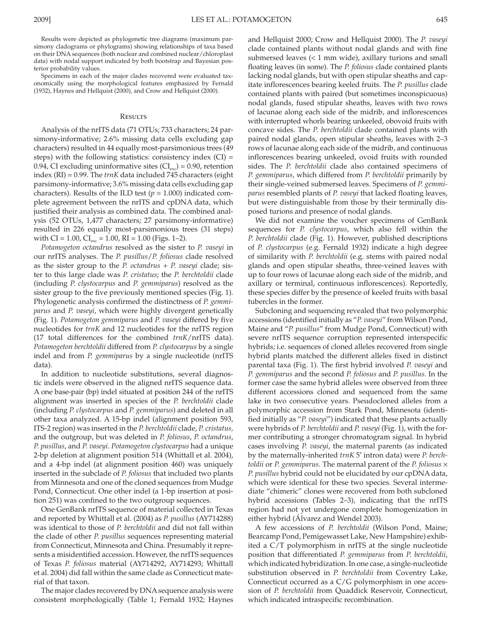Results were depicted as phylogenetic tree diagrams (maximum parsimony cladograms or phylograms) showing relationships of taxa based on their DNA sequences (both nuclear and combined nuclear/chloroplast data) with nodal support indicated by both bootstrap and Bayesian posterior probability values.

 Specimens in each of the major clades recovered were evaluated taxonomically using the morphological features emphasized by Fernald (1932) , Haynes and Hellquist (2000) , and Crow and Hellquist (2000) .

#### **RESULTS**

 Analysis of the nrITS data (71 OTUs; 733 characters; 24 parsimony-informative; 2.6% missing data cells excluding gap characters) resulted in 44 equally most-parsimonious trees (49 steps) with the following statistics: consistency index (CI) = 0.94, CI excluding uninformative sites  $(Cl_{\text{exc}}) = 0.90$ , retention index (RI) = 0.99. The *trnK* data included 745 characters (eight parsimony-informative; 3.6% missing data cells excluding gap characters). Results of the ILD test ( $p = 1.000$ ) indicated complete agreement between the nrITS and cpDNA data, which justified their analysis as combined data. The combined analysis (52 OTUs, 1,477 characters; 27 parsimony-informative) resulted in 226 equally most-parsimonious trees (31 steps) with CI = 1.00,  $CI_{exc}$  = 1.00, RI = 1.00 (Figs. 1–2).

*Potamogeton octandrus* resolved as the sister to *P. vaseyi* in our nrITS analyses. The *P. pusillus* / *P. foliosus* clade resolved as the sister group to the *P. octandrus* + *P. vaseyi* clade; sister to this large clade was *P. cristatus*; the *P. berchtoldii* clade (including *P. clystocarpus* and *P. gemmiparus* ) resolved as the sister group to the five previously mentioned species (Fig. 1). Phylogenetic analysis confirmed the distinctness of *P. gemmiparus* and *P. vaseyi* , which were highly divergent genetically ( Fig. 1 ). *Potamogeton gemmiparus* and *P. vaseyi* differed by five nucleotides for *trnK* and 12 nucleotides for the nrITS region (17 total differences for the combined *trnK* /nrITS data). *Potamogeton berchtoldii* differed from *P. clystocarpus* by a single indel and from *P. gemmiparus* by a single nucleotide (nrITS data).

 In addition to nucleotide substitutions, several diagnostic indels were observed in the aligned nrITS sequence data. A one base-pair (bp) indel situated at position 244 of the nrITS alignment was inserted in species of the *P. berchtoldii* clade (including *P. clystocarpus* and *P. gemmiparus* ) and deleted in all other taxa analyzed. A 15-bp indel (alignment position 593, ITS-2 region) was inserted in the *P. berchtoldii* clade, *P. cristatus,* and the outgroup, but was deleted in *P. foliosus* , *P. octandrus* , *P. pusillus* , and *P. vaseyi* . *Potamogeton clystocarpus* had a unique 2-bp deletion at alignment position 514 (Whittall et al. 2004), and a 4-bp indel (at alignment position 460) was uniquely inserted in the subclade of *P. foliosus* that included two plants from Minnesota and one of the cloned sequences from Mudge Pond, Connecticut. One other indel (a 1-bp insertion at position 251) was confined to the two outgroup sequences.

 One GenBank nrITS sequence of material collected in Texas and reported by Whittall et al. (2004) as *P. pusillus* (AY714288) was identical to those of *P. berchtoldii* and did not fall within the clade of other *P. pusillus* sequences representing material from Connecticut, Minnesota and China. Presumably it represents a misidentified accession. However, the nrITS sequences of Texas *P. foliosus* material (AY714292, AY714293; Whittall et al. 2004) did fall within the same clade as Connecticut material of that taxon.

 The major clades recovered by DNA sequence analysis were consistent morphologically (Table 1; Fernald 1932; Haynes and Hellquist 2000; Crow and Hellquist 2000). The *P. vaseyi* clade contained plants without nodal glands and with fine submersed leaves (< 1 mm wide), axillary turions and small floating leaves (in some). The *P. foliosus* clade contained plants lacking nodal glands, but with open stipular sheaths and capitate inflorescences bearing keeled fruits. The *P. pusillus* clade contained plants with paired (but sometimes inconspicuous) nodal glands, fused stipular sheaths, leaves with two rows of lacunae along each side of the midrib, and inflorescences with interrupted whorls bearing unkeeled, obovoid fruits with concave sides. The *P. berchtoldii* clade contained plants with paired nodal glands, open stipular sheaths, leaves with 2–3 rows of lacunae along each side of the midrib, and continuous inflorescences bearing unkeeled, ovoid fruits with rounded sides. The *P. berchtoldii* clade also contained specimens of *P. gemmiparus* , which differed from *P. berchtoldii* primarily by their single-veined submersed leaves. Specimens of *P. gemmiparus* resembled plants of *P. vaseyi* that lacked floating leaves, but were distinguishable from those by their terminally disposed turions and presence of nodal glands.

 We did not examine the voucher specimens of GenBank sequences for *P. clystocarpus*, which also fell within the *P. berchtoldii* clade (Fig. 1). However, published descriptions of *P. clystocarpus* (e.g. Fernald 1932 ) indicate a high degree of similarity with *P. berchtoldii* (e.g. stems with paired nodal glands and open stipular sheaths, three-veined leaves with up to four rows of lacunae along each side of the midrib, and axillary or terminal, continuous inflorescences). Reportedly, these species differ by the presence of keeled fruits with basal tubercles in the former.

 Subcloning and sequencing revealed that two polymorphic accessions (identified initially as " *P. vaseyi* " from Wilson Pond, Maine and "*P. pusillus*" from Mudge Pond, Connecticut) with severe nrITS sequence corruption represented interspecific hybrids; i.e. sequences of cloned alleles recovered from single hybrid plants matched the different alleles fixed in distinct parental taxa (Fig. 1). The first hybrid involved *P. vaseyi* and *P. gemmiparus* and the second *P. foliosus* and *P. pusillus* . In the former case the same hybrid alleles were observed from three different accessions cloned and sequenced from the same lake in two consecutive years. Pseudocloned alleles from a polymorphic accession from Stark Pond, Minnesota (identified initially as "*P. vaseyi*") indicated that these plants actually were hybrids of *P. berchtoldii* and *P. vaseyi* (Fig. 1), with the former contributing a stronger chromatogram signal. In hybrid cases involving *P. vaseyi* , the maternal parents (as indicated by the maternally-inherited *trnK* 5′ intron data) were *P. berchtoldii* or *P. gemmiparus* . The maternal parent of the *P. foliosus* × *P. pusillus* hybrid could not be elucidated by our cpDNA data, which were identical for these two species. Several intermediate "chimeric" clones were recovered from both subcloned hybrid accessions (Tables 2–3), indicating that the nrITS region had not yet undergone complete homogenization in either hybrid (Alvarez and Wendel 2003).

 A few accessions of *P. berchtoldii* (Wilson Pond, Maine; Bearcamp Pond, Pemigewasset Lake, New Hampshire) exhibited a C/T polymorphism in nrITS at the single nucleotide position that differentiated *P. gemmiparus* from *P. berchtoldii* , which indicated hybridization. In one case, a single-nucleotide substitution observed in *P. berchtoldii* from Coventry Lake, Connecticut occurred as a C/G polymorphism in one accession of *P. berchtoldii* from Quaddick Reservoir, Connecticut, which indicated intraspecific recombination.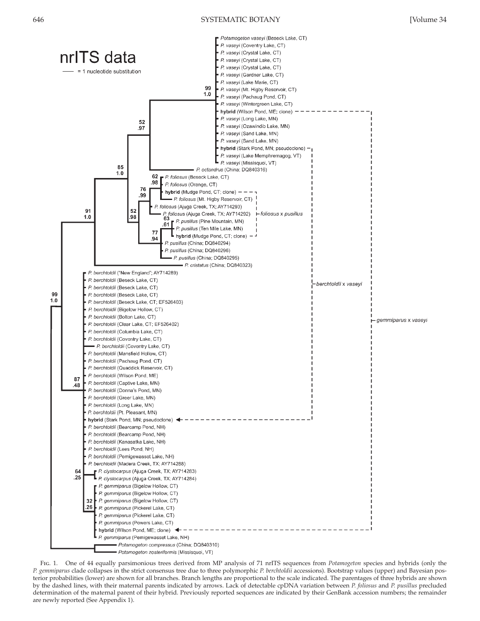

 Fig. 1. One of 44 equally parsimonious trees derived from MP analysis of 71 nrITS sequences from *Potamogeton* species and hybrids (only the *P. gemmiparus* clade collapses in the strict consensus tree due to three polymorphic *P. berchtoldii* accessions). Bootstrap values (upper) and Bayesian posterior probabilities (lower) are shown for all branches. Branch lengths are proportional to the scale indicated. The parentages of three hybrids are shown by the dashed lines, with their maternal parents indicated by arrows. Lack of detectable cpDNA variation between *P. foliosus* and *P. pusillus* precluded determination of the maternal parent of their hybrid. Previously reported sequences are indicated by their GenBank accession numbers; the remainder are newly reported (See Appendix 1).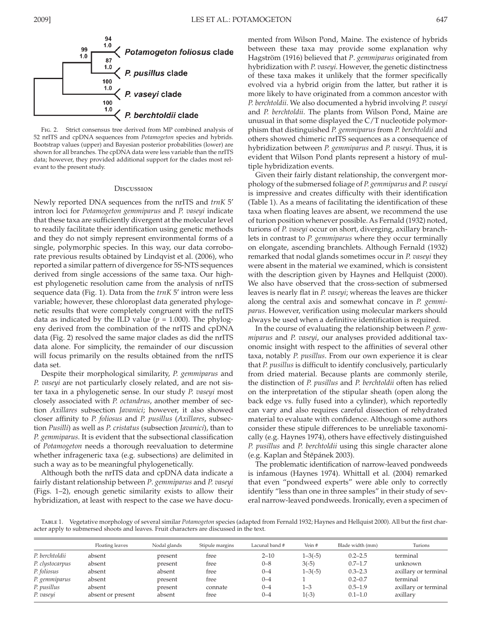

FIG. 2. Strict consensus tree derived from MP combined analysis of 52 nrITS and cpDNA sequences from *Potamogeton* species and hybrids. Bootstrap values (upper) and Bayesian posterior probabilities (lower) are shown for all branches. The cpDNA data were less variable than the nrITS data; however, they provided additional support for the clades most relevant to the present study.

### **DISCUSSION**

 Newly reported DNA sequences from the nrITS and *trnK* 5′ intron loci for *Potamogeton gemmiparus* and *P. vaseyi* indicate that these taxa are sufficiently divergent at the molecular level to readily facilitate their identification using genetic methods and they do not simply represent environmental forms of a single, polymorphic species. In this way, our data corroborate previous results obtained by Lindqvist et al. (2006), who reported a similar pattern of divergence for 5S-NTS sequences derived from single accessions of the same taxa. Our highest phylogenetic resolution came from the analysis of nrITS sequence data (Fig. 1). Data from the *trnK* 5' intron were less variable; however, these chloroplast data generated phylogenetic results that were completely congruent with the nrITS data as indicated by the ILD value ( $p = 1.000$ ). The phylogeny derived from the combination of the nrITS and cpDNA data (Fig. 2) resolved the same major clades as did the nrITS data alone. For simplicity, the remainder of our discussion will focus primarily on the results obtained from the nrITS data set.

 Despite their morphological similarity, *P. gemmiparus* and *P. vaseyi* are not particularly closely related, and are not sister taxa in a phylogenetic sense. In our study *P. vaseyi* most closely associated with *P. octandrus* , another member of section *Axillares* subsection *Javanici* ; however, it also showed closer affinity to *P. foliosus* and *P. pusillus* ( *Axillares* , subsection *Pusilli* ) as well as *P. cristatus* (subsection *Javanici* ), than to *P. gemmiparus* . It is evident that the subsectional classification of *Potamogeton* needs a thorough reevaluation to determine whether infrageneric taxa (e.g. subsections) are delimited in such a way as to be meaningful phylogenetically.

 Although both the nrITS data and cpDNA data indicate a fairly distant relationship between *P* . *gemmiparus* and *P. vaseyi* ( Figs. 1–2 ), enough genetic similarity exists to allow their hybridization, at least with respect to the case we have documented from Wilson Pond, Maine. The existence of hybrids between these taxa may provide some explanation why Hagström (1916) believed that *P* . *gemmiparus* originated from hybridization with *P. vaseyi* . However, the genetic distinctness of these taxa makes it unlikely that the former specifically evolved via a hybrid origin from the latter, but rather it is more likely to have originated from a common ancestor with *P. berchtoldii* . We also documented a hybrid involving *P. vaseyi* and *P. berchtoldii*. The plants from Wilson Pond, Maine are unusual in that some displayed the C/T nucleotide polymorphism that distinguished *P. gemmiparus* from *P. berchtoldii* and others showed chimeric nrITS sequences as a consequence of hybridization between *P. gemmiparus* and *P. vaseyi* . Thus, it is evident that Wilson Pond plants represent a history of multiple hybridization events.

 Given their fairly distant relationship, the convergent morphology of the submersed foliage of *P. gemmiparus* and *P. vaseyi* is impressive and creates difficulty with their identification (Table 1). As a means of facilitating the identification of these taxa when floating leaves are absent, we recommend the use of turion position whenever possible. As Fernald (1932) noted, turions of *P. vaseyi* occur on short, diverging, axillary branchlets in contrast to *P. gemmiparus* where they occur terminally on elongate, ascending branchlets. Although Fernald (1932) remarked that nodal glands sometimes occur in *P. vaseyi* they were absent in the material we examined, which is consistent with the description given by Haynes and Hellquist (2000). We also have observed that the cross-section of submersed leaves is nearly flat in *P. vaseyi*; whereas the leaves are thicker along the central axis and somewhat concave in *P. gemmiparus* . However, verification using molecular markers should always be used when a definitive identification is required.

 In the course of evaluating the relationship between *P. gemmiparus* and *P. vaseyi* , our analyses provided additional taxonomic insight with respect to the affinities of several other taxa, notably *P. pusillus* . From our own experience it is clear that *P. pusillus* is difficult to identify conclusively, particularly from dried material. Because plants are commonly sterile, the distinction of *P. pusillus* and *P. berchtoldii* often has relied on the interpretation of the stipular sheath (open along the back edge vs. fully fused into a cylinder), which reportedly can vary and also requires careful dissection of rehydrated material to evaluate with confidence. Although some authors consider these stipule differences to be unreliable taxonomically (e.g. Haynes 1974), others have effectively distinguished *P. pusillus* and *P. berchtoldii* using this single character alone (e.g. Kaplan and Štěpánek 2003).

The problematic identification of narrow-leaved pondweeds is infamous (Haynes 1974). Whittall et al. (2004) remarked that even "pondweed experts" were able only to correctly identify "less than one in three samples" in their study of several narrow-leaved pondweeds. Ironically, even a specimen of

TABLE 1. Vegetative morphology of several similar *Potamogeton* species (adapted from Fernald 1932; Haynes and Hellquist 2000). All but the first character apply to submersed shoots and leaves. Fruit characters are discussed in the text.

|                 | Floating leaves   | Nodal glands | Stipule margins | Lacunal band # | Vein#       | Blade width (mm) | Turions              |
|-----------------|-------------------|--------------|-----------------|----------------|-------------|------------------|----------------------|
| P. berchtoldii  | absent            | present      | free            | $2 - 10$       | $1 - 3(-5)$ | $0.2 - 2.5$      | terminal             |
| P. clystocarpus | absent            | present      | free            | $0 - 8$        | $3(-5)$     | $0.7 - 1.7$      | unknown              |
| P. foliosus     | absent            | absent       | free            | $0 - 4$        | $1 - 3(-5)$ | $0.3 - 2.3$      | axillary or terminal |
| P. gemmiparus   | absent            | present      | free            | $0 - 4$        |             | $0.2 - 0.7$      | terminal             |
| P. pusillus     | absent            | present      | connate         | $0 - 4$        | $1 - 3$     | $0.5 - 1.9$      | axillary or terminal |
| P. vaseyi       | absent or present | absent       | free            | $0 - 4$        | $1(-3)$     | $0.1 - 1.0$      | axillary             |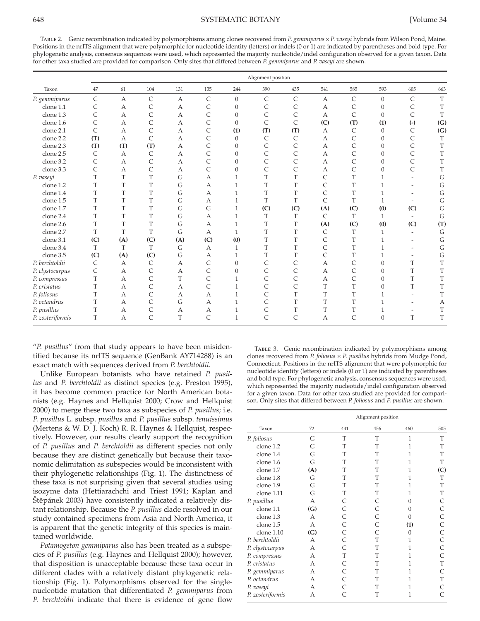Table 2. Genic recombination indicated by polymorphisms among clones recovered from *P. gemmiparus* × *P. vaseyi* hybrids from Wilson Pond, Maine. Positions in the nrITS alignment that were polymorphic for nucleotide identity (letters) or indels (0 or 1) are indicated by parentheses and bold type. For phylogenetic analysis, consensus sequences were used, which represented the majority nucleotide/indel configuration observed for a given taxon. Data for other taxa studied are provided for comparison. Only sites that differed between *P. gemmiparus* and *P. vaseyi* are shown.

|                  | Alignment position |     |             |              |              |                  |              |              |                  |              |              |                          |             |
|------------------|--------------------|-----|-------------|--------------|--------------|------------------|--------------|--------------|------------------|--------------|--------------|--------------------------|-------------|
| Taxon            | 47                 | 61  | 104         | 131          | 135          | 244              | 390          | 435          | 541              | 585          | 593          | 605                      | 663         |
| P. gemmiparus    | $\mathsf{C}$       | А   | $\mathsf C$ | А            | $\mathsf{C}$ | $\theta$         | $\mathsf{C}$ | $\mathsf{C}$ | А                | $\mathsf C$  | $\mathbf{0}$ | $\mathsf{C}$             | $\mathbf T$ |
| clone 1.1        | C                  | А   | C           | $\mathbf{A}$ | C            | $\theta$         | $\mathsf{C}$ | $\mathsf{C}$ | $\mathbf{A}$     | C            | $\Omega$     | Ċ                        | T           |
| clone 1.3        | C                  | А   | С           | А            | $\mathsf{C}$ | $\mathbf{0}$     | C            | C            | А                | C            | $\Omega$     | C                        | T           |
| clone 1.6        | $\mathsf{C}$       | А   | C           | А            | $\mathsf C$  | $\theta$         | C            | $\mathsf{C}$ | (C)              | (T)          | (1)          | $(-)$                    | (G)         |
| clone 2.1        | C                  | А   | C           | А            | $\mathsf{C}$ | (1)              | (T)          | (T)          | А                | C            | $\Omega$     | C                        | (G)         |
| clone 2.2        | (T)                | А   | C           | A            | C            | $\theta$         | C            | C            | А                | $\mathsf{C}$ | $\mathbf{0}$ | С                        | T           |
| clone 2.3        | (T)                | (T) | (T)         | А            | C            | $\boldsymbol{0}$ | C            | C            | $\boldsymbol{A}$ | C            | $\theta$     | C                        | T           |
| clone 2.5        | C                  | А   | C           | А            | C            | $\theta$         | C            | $\mathsf C$  | А                | C            | $\Omega$     | C                        | T           |
| clone 3.2        | C                  | А   | C           | А            | $\mathsf{C}$ | $\mathbf{0}$     | C            | C            | A                | C            | $\Omega$     | C                        | T           |
| clone 3.3        | C                  | А   | C           | А            | $\mathsf{C}$ | $\theta$         | C            | $\mathsf C$  | А                | C            | $\mathbf{0}$ | C                        |             |
| P. vaseyi        | T                  | T   | T           | G            | А            | 1                | T            | T            | $\mathsf{C}$     | T            |              |                          | G           |
| clone 1.2        | T                  | T   | T           | G            | A            |                  | T            | $\mathbf T$  | C                | T            |              |                          | G           |
| clone 1.4        | T                  | T   | T           | G            | А            | $\mathbf{1}$     | T            | T            | $\mathsf{C}$     | T            |              |                          | G           |
| clone 1.5        | T                  | T   | T           | G            | А            | 1                | T            | T            | $\mathsf{C}$     | T            | 1            |                          | G           |
| clone 1.7        | T                  | T   | T           | G            | G            |                  | (C)          | (C)          | (A)              | (C)          | (0)          | (C)                      | G           |
| clone 2.4        | T                  | T   | T           | G            | А            |                  | T            | $\mathbf T$  | $\mathsf{C}$     | T            | $\mathbf{1}$ | $\overline{\phantom{a}}$ | G           |
| clone 2.6        | T                  | T   | T           | G            | А            | 1                | T            | T            | (A)              | (C)          | (0)          | (C)                      | (T)         |
| clone 2.7        | T                  | T   | T           | G            | А            | 1                | T            | T            | C                | T            | $\mathbf{1}$ |                          | G           |
| clone 3.1        | (C)                | (A) | (C)         | (A)          | (C)          | (0)              | T            | T            | $\mathsf{C}$     | T            |              |                          | G           |
| clone 3.4        | T                  | T   | T           | G            | А            | 1                | T            | T            | $\mathsf{C}$     | T            |              |                          | G           |
| clone 3.5        | (C)                | (A) | (C)         | G            | А            | 1                | T            | T            | $\mathsf{C}$     | T            |              |                          | G           |
| P. berchtoldii   | C                  | А   | C           | А            | $\mathsf{C}$ | $\overline{0}$   | C            | C            | $\boldsymbol{A}$ | C            | $\theta$     | T                        | T           |
| P. clystocarpus  | $\mathsf{C}$       | А   | C           | А            | C            | $\theta$         | C            | C            | A                | C            | $\Omega$     | T                        | T           |
| P. compressus    | T                  | А   | C           | T            | $\mathsf C$  | 1                | C            | C            | А                | C            | $\Omega$     | T                        | T           |
| P. cristatus     | T                  | А   | C           | А            | $\mathsf{C}$ | $\mathbf{1}$     | C            | C            | T                | T            | $\Omega$     | T                        |             |
| P. foliosus      | T                  | A   | C           | А            | A            | 1                | C            | T            | T                | T            |              |                          | T           |
| P. octandrus     | T                  | А   | С           | G            | A            |                  |              | T            | T                | T            |              |                          | А           |
| P. pusillus      | T                  | А   | $\mathsf C$ | А            | А            |                  | C            | T            | T                | T            |              |                          | T           |
| P. zosteriformis | T                  | А   | C           | T            | $\mathsf{C}$ | $\mathbf{1}$     | $\mathsf{C}$ | $\mathsf{C}$ | А                | C            | $\theta$     | T                        | T           |

"P. *pusillus*" from that study appears to have been misidentified because its nrITS sequence (GenBank AY714288) is an exact match with sequences derived from *P. berchtoldii* .

 Unlike European botanists who have retained *P. pusillus* and *P. berchtoldii* as distinct species (e.g. Preston 1995), it has become common practice for North American botanists (e.g. Haynes and Hellquist 2000; Crow and Hellquist 2000) to merge these two taxa as subspecies of *P. pusillus*; i.e. *P. pusillus* L. subsp. *pusillus* and *P. pusillus* subsp. *tenuissimus* (Mertens & W. D. J. Koch) R. R. Haynes & Hellquist, respectively. However, our results clearly support the recognition of *P. pusillus* and *P. berchtoldii* as different species not only because they are distinct genetically but because their taxonomic delimitation as subspecies would be inconsistent with their phylogenetic relationships (Fig. 1). The distinctness of these taxa is not surprising given that several studies using isozyme data (Hettiarachchi and Triest 1991; Kaplan and Štěpánek 2003) have consistently indicated a relatively distant relationship. Because the *P. pusillus* clade resolved in our study contained specimens from Asia and North America, it is apparent that the genetic integrity of this species is maintained worldwide.

*Potamogeton gemmiparus* also has been treated as a subspecies of *P. pusillus* (e.g. Haynes and Hellquist 2000); however, that disposition is unacceptable because these taxa occur in different clades with a relatively distant phylogenetic relationship (Fig. 1). Polymorphisms observed for the singlenucleotide mutation that differentiated *P. gemmiparus* from *P. berchtoldii* indicate that there is evidence of gene flow

TABLE 3. Genic recombination indicated by polymorphisms among clones recovered from *P. foliosus* × *P. pusillus* hybrids from Mudge Pond, Connecticut. Positions in the nrITS alignment that were polymorphic for nucleotide identity (letters) or indels (0 or 1) are indicated by parentheses and bold type. For phylogenetic analysis, consensus sequences were used, which represented the majority nucleotide/indel configuration observed for a given taxon. Data for other taxa studied are provided for comparison. Only sites that differed between *P. foliosus* and *P. pusillus* are shown.

|                  |     | Alignment position |     |          |     |  |  |  |
|------------------|-----|--------------------|-----|----------|-----|--|--|--|
| Taxon            | 72  | 441                | 456 | 460      | 505 |  |  |  |
| P. foliosus      | G   | T                  | T   | 1        | T   |  |  |  |
| clone 1.2        | G   | Т                  | T   | 1        | T   |  |  |  |
| clone 1.4        | G   | T                  | T   | 1        | T   |  |  |  |
| clone 1.6        | G   | T                  | T   | 1        | T   |  |  |  |
| clone 1.7        | (A) | T                  | T   | 1        | (C) |  |  |  |
| clone 1.8        | G   | T                  | T   | 1        | T   |  |  |  |
| clone 1.9        | G   | T                  | T   | 1        | T   |  |  |  |
| clone 1.11       | G   | T                  | T   | 1        | T   |  |  |  |
| P. pusillus      | A   | C                  | C   | 0        | C   |  |  |  |
| clone 1.1        | (G) | Ć                  | Ć   | 0        | Ċ   |  |  |  |
| clone 1.3        | A   | C                  | C   | 0        | C   |  |  |  |
| clone 1.5        | A   | Ċ                  |     | (1)      | C   |  |  |  |
| clone $1.10$     | (G) | C                  | C   | $\Omega$ | C   |  |  |  |
| P. berchtoldii   | A   | C                  | T   | 1        | C   |  |  |  |
| P. clystocarpus  | A   | $\subset$          | T   | 1        | C   |  |  |  |
| P. compressus    | A   | T                  | T   | 1        | C   |  |  |  |
| P. cristatus     | A   | C                  | T   | 1        | T   |  |  |  |
| P. gemmiparus    | А   | C                  | T   | 1        | C   |  |  |  |
| P. octandrus     | A   | C                  | T   | 1        | T   |  |  |  |
| P. vaseyi        | A   |                    | T   | 1        | C   |  |  |  |
| P. zosteriformis | А   | C                  | T   | 1        | C   |  |  |  |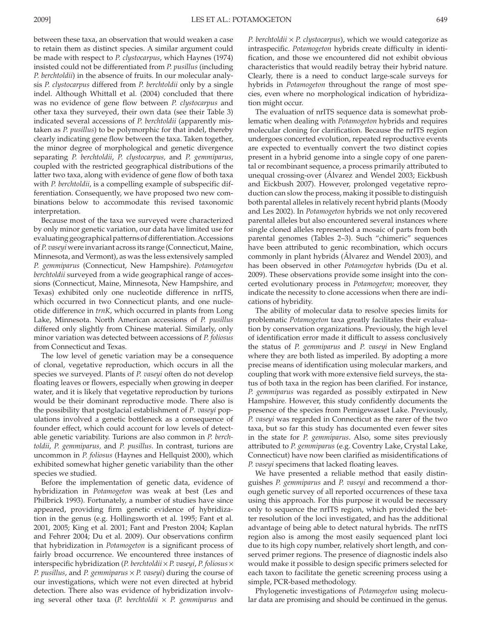between these taxa, an observation that would weaken a case to retain them as distinct species. A similar argument could be made with respect to *P. clystocarpus*, which Haynes (1974) insisted could not be differentiated from *P. pusillus* (including *P. berchtoldii* ) in the absence of fruits. In our molecular analysis *P. clystocarpus* differed from *P. berchtoldii* only by a single indel. Although Whittall et al. (2004) concluded that there was no evidence of gene flow between *P. clystocarpus* and other taxa they surveyed, their own data (see their Table 3) indicated several accessions of *P. berchtoldii* (apparently mistaken as *P. pusillus*) to be polymorphic for that indel, thereby clearly indicating gene flow between the taxa. Taken together, the minor degree of morphological and genetic divergence separating *P. berchtoldii* , *P. clystocarpus,* and *P. gemmiparus* , coupled with the restricted geographical distributions of the latter two taxa, along with evidence of gene flow of both taxa with *P. berchtoldii* , is a compelling example of subspecific differentiation. Consequently, we have proposed two new combinations below to accommodate this revised taxonomic interpretation.

 Because most of the taxa we surveyed were characterized by only minor genetic variation, our data have limited use for evaluating geographical patterns of differentiation. Accessions of *P. vaseyi* were invariant across its range (Connecticut, Maine, Minnesota, and Vermont), as was the less extensively sampled *P. gemmiparus* (Connecticut, New Hampshire). *Potamogeton berchtoldii* surveyed from a wide geographical range of accessions (Connecticut, Maine, Minnesota, New Hampshire, and Texas) exhibited only one nucleotide difference in nrITS, which occurred in two Connecticut plants, and one nucleotide difference in *trnK*, which occurred in plants from Long Lake, Minnesota. North American accessions of *P. pusillus* differed only slightly from Chinese material. Similarly, only minor variation was detected between accessions of *P. foliosus* from Connecticut and Texas.

 The low level of genetic variation may be a consequence of clonal, vegetative reproduction, which occurs in all the species we surveyed. Plants of *P. vaseyi* often do not develop floating leaves or flowers, especially when growing in deeper water, and it is likely that vegetative reproduction by turions would be their dominant reproductive mode. There also is the possibility that postglacial establishment of *P*. *vaseyi* populations involved a genetic bottleneck as a consequence of founder effect, which could account for low levels of detectable genetic variability. Turions are also common in *P. berchtoldii* , *P. gemmiparus,* and *P. pusillus* . In contrast, turions are uncommon in *P. foliosus* (Haynes and Hellquist 2000), which exhibited somewhat higher genetic variability than the other species we studied.

 Before the implementation of genetic data, evidence of hybridization in *Potamogeton* was weak at best (Les and Philbrick 1993). Fortunately, a number of studies have since appeared, providing firm genetic evidence of hybridization in the genus (e.g. Hollingsworth et al. 1995; Fant et al. 2001, 2005; King et al. 2001; Fant and Preston 2004; Kaplan and Fehrer 2004; Du et al. 2009). Our observations confirm that hybridization in *Potamogeton* is a significant process of fairly broad occurrence. We encountered three instances of interspecific hybridization (*P. berchtoldii* × *P. vaseyi*, *P. foliosus* × *P. pusillus* , and *P. gemmiparus* × *P. vaseyi* ) during the course of our investigations, which were not even directed at hybrid detection. There also was evidence of hybridization involving several other taxa ( $P$ . berchtoldi $i \times P$ . gemmiparus and *P. berchtoldii* × *P. clystocarpus* ), which we would categorize as intraspecific. *Potamogeton* hybrids create difficulty in identification, and those we encountered did not exhibit obvious characteristics that would readily betray their hybrid nature. Clearly, there is a need to conduct large-scale surveys for hybrids in *Potamogeton* throughout the range of most species, even where no morphological indication of hybridization might occur.

 The evaluation of nrITS sequence data is somewhat problematic when dealing with *Potamogeton* hybrids and requires molecular cloning for clarification. Because the nrITS region undergoes concerted evolution, repeated reproductive events are expected to eventually convert the two distinct copies present in a hybrid genome into a single copy of one parental or recombinant sequence, a process primarily attributed to unequal crossing-over (Alvarez and Wendel 2003; Eickbush and Eickbush 2007). However, prolonged vegetative reproduction can slow the process, making it possible to distinguish both parental alleles in relatively recent hybrid plants ( Moody and Les 2002). In *Potamogeton* hybrids we not only recovered parental alleles but also encountered several instances where single cloned alleles represented a mosaic of parts from both parental genomes (Tables 2–3). Such "chimeric" sequences have been attributed to genic recombination, which occurs commonly in plant hybrids (Álvarez and Wendel 2003), and has been observed in other *Potamogeton* hybrids (Du et al. 2009). These observations provide some insight into the concerted evolutionary process in *Potamogeton*; moreover, they indicate the necessity to clone accessions when there are indications of hybridity.

 The ability of molecular data to resolve species limits for problematic *Potamogeton* taxa greatly facilitates their evaluation by conservation organizations. Previously, the high level of identification error made it difficult to assess conclusively the status of *P. gemmiparus* and *P. vaseyi* in New England where they are both listed as imperiled. By adopting a more precise means of identification using molecular markers, and coupling that work with more extensive field surveys, the status of both taxa in the region has been clarified. For instance, *P. gemmiparus* was regarded as possibly extirpated in New Hampshire. However, this study confidently documents the presence of the species from Pemigewasset Lake. Previously, *P. vaseyi* was regarded in Connecticut as the rarer of the two taxa, but so far this study has documented even fewer sites in the state for *P. gemmiparus* . Also, some sites previously attributed to *P. gemmiparus* (e.g. Coventry Lake, Crystal Lake, Connecticut) have now been clarified as misidentifications of *P. vaseyi* specimens that lacked floating leaves.

 We have presented a reliable method that easily distinguishes *P. gemmiparus* and *P. vaseyi* and recommend a thorough genetic survey of all reported occurrences of these taxa using this approach. For this purpose it would be necessary only to sequence the nrITS region, which provided the better resolution of the loci investigated, and has the additional advantage of being able to detect natural hybrids. The nrITS region also is among the most easily sequenced plant loci due to its high copy number, relatively short length, and conserved primer regions. The presence of diagnostic indels also would make it possible to design specific primers selected for each taxon to facilitate the genetic screening process using a simple, PCR-based methodology.

 Phylogenetic investigations of *Potamogeton* using molecular data are promising and should be continued in the genus.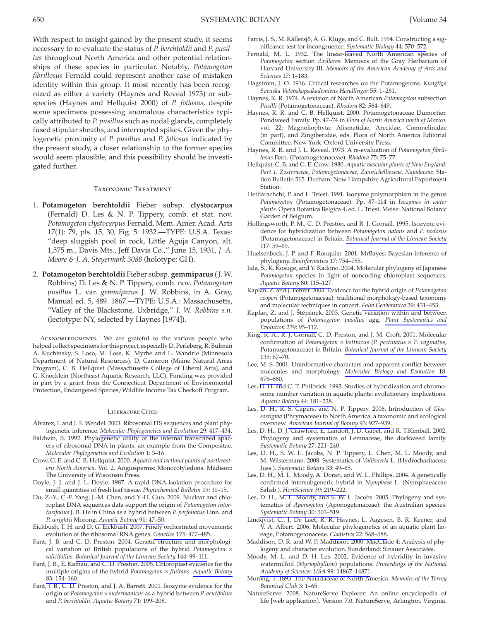With respect to insight gained by the present study, it seems necessary to re-evaluate the status of *P. berchtoldii* and *P. pusillus* throughout North America and other potential relationships of these species in particular. Notably, *Potamogeton fibrillosus* Fernald could represent another case of mistaken identity within this group. It most recently has been recognized as either a variety (Haynes and Reveal 1973) or subspecies (Haynes and Hellquist 2000) of *P. foliosus*, despite some specimens possessing anomalous characteristics typically attributed to *P. pusillus* such as nodal glands, completely fused stipular sheaths, and interrupted spikes. Given the phylogenetic proximity of *P. pusillus* and *P. foliosus* indicated by the present study, a closer relationship to the former species would seem plausible, and this possibility should be investigated further.

#### Taxonomic Treatment

- 1. **Potamogeton berchtoldii** Fieber subsp. **clystocarpus** (Fernald) D. Les & N. P. Tippery, comb. et stat. nov. *Potamogeton clystocarpus* Fernald, Mem. Amer. Acad. Arts 17(1): 79, pls. 15, 30, Fig. 5. 1932.—TYPE: U.S.A. Texas: "deep sluggish pool in rock, Little Aguja Canyon, alt. 1,575 m., Davis Mts., Jeff Davis Co.," June 15, 1931, *J. A. Moore & J. A. Steyermark 3088* (holotype: GH).
- 2. **Potamogeton berchtoldii** Fieber subsp. **gemmiparus** ( J. W. Robbins) D. Les & N. P. Tippery, comb. nov. *Potamogeton pusillus* L. var. *gemmiparus* J. W. Robbins, in A. Gray, Manual ed. 5, 489. 1867.—TYPE: U.S.A.: Massachusetts, "Valley of the Blackstone, Uxbridge," *J. W. Robbins s.n.* (lectotype: NY, selected by Haynes [1974]).

ACKNOWLEDGMENTS. We are grateful to the various people who helped collect specimens for this project, especially D. Perleberg, R. Bulman A. Kuchinsky, S. Loso, M. Loss, K. Myrhe and L. Wandrie (Minnesota Department of Natural Resources), D. Cameron (Maine Natural Areas Program), C. B. Hellquist (Massachusetts College of Liberal Arts), and G. Knocklein (Northeast Aquatic Research, LLC). Funding was provided in part by a grant from the Connecticut Department of Environmental Protection, Endangered Species/Wildlife Income Tax Checkoff Program.

#### LITERATURE CITED

- Álvarez, I. and J. F. Wendel. 2003. Ribosomal ITS sequences and plant phylogenetic inference. *Molecular Phylogenetics and Evolution* 29: 417-434.
- Baldwin, B. 1992. Phylogenetic utility of the internal transcribed spacers of ribosomal DNA in plants: an example from the Compositae . *Molecular Phylogenetics and Evolution* 1: 3-16.
- Crow, G. E. and C. B. Hellquist . 2000 . *Aquatic and wetland plants of northeast*ern North America. Vol. 2. Angiosperms: Monocotyledons. Madison: The University of Wisconsin Press .
- Doyle, J. J. and J. L. Doyle . 1987 . A rapid DNA isolation procedure for small quantities of fresh leaf tissue. *Phytochemical Bulletin* 19: 11-15.
- Du, Z.-Y., C.-F. Yang, J.-M. Chen, and Y.-H. Guo. 2009. Nuclear and chloroplast DNA sequences data support the origin of *Potamogeton intortusifolius* J. B. He in China as a hybrid between *P. perfoliatus* Linn. and *P. wrightii* Morong . *Aquatic Botany* 91 : 47 – 50 .
- Eickbush, T. H. and D. G. Eickbush . 2007 . Finely orchestrated movements: evolution of the ribosomal RNA genes. *Genetics* 175: 477-485.
- Fant, J. B. and C. D. Preston. 2004. Genetic structure and morphological variation of British populations of the hybrid *Potamogeton* × salicifolius. Botanical Journal of the Linnean Society 144: 99-111.
- Fant, J. B., E. Kamau, and C. D. Preston. 2005. Chloroplast evidence for the multiple origins of the hybrid *Potamogeton* × *fluitans* . *Aquatic Botany* 83: 154–160.
- Fant, J. B., C. D. Preston, and J. A. Barrett. 2001. Isozyme evidence for the origin of *Potamogeton* × *sudermanicus* as a hybrid between *P. acutifolius* and *P. berchtoldii. Aquatic Botany* 71: 199-208.
- Farris, J. S., M. Källersjö, A. G. Kluge, and C. Bult. 1994. Constructing a significance test for incongruence. Systematic Biology 44: 570-572.
- Fernald, M. L. 1932. The linear-leaved North American species of *Potamogeton* section *Axillares* . Memoirs of the Gray Herbarium of Harvard University III . *Memoirs of the American Academy of Arts and Sciences* 17: 1-183.
- Hagström, J. O. 1916 . Critical researches on the Potamogetons . *Kungliga Svenska Vetenskapsakademiens Handlingar* 55 : 1 – 281 .
- Haynes, R. R. 1974 . A revision of North American *Potamogeton* subsection *Pusilli* (Potamogetonaceae) . *Rhodora* 82 : 564 – 649 .
- Haynes, R. R. and C. B. Hellquist. 2000. Potamogetonaceae Dumortier. Pondweed Family. Pp. 47-74 in *Flora of North America north of Mexico*. vol. 22: Magnoliophyta: Alismatidae, Arecidae, Commelinidae (in part), and Zingiberidae, eds. Flora of North America Editorial Committee . New York: Oxford University Press.
- Haynes, R. R. and J. L. Reveal. 1973. A re-evaluation of *Potamogeton fibrillosus* Fern. (Potamogetonaceae) . *Rhodora* 75 : 75 – 77 .
- Hellquist, C. B. and G. E. Crow . 1980 . *Aquatic vascular plants of New England: Part 1. Zosteraceae, Potamogetonaceae, Zannichelliaceae, Najadaceae.* Station Bulletin 515. Durham: New Hampshire Agricultural Experiment Station.
- Hettiarachchi, P. and L. Triest. 1991. Isozyme polymorphism in the genus *Potamogeton* (Potamogetonaceae) . Pp. 87 – 114 in *Isozymes in water*  plants. Opera Botanica Belgica 4, ed. L. Triest. Meise: National Botanic Garden of Belgium.
- Hollingsworth, P. M., C. D. Preston, and R. J. Gornall. 1995. Isozyme evidence for hybridization between *Potamogeton natans* and *P. nodosus* (Potamogetonaceae) in Britain . *Botanical Journal of the Linnean Society* 117: 59-69
- Huelsenbeck, J. P. and F. Ronquist. 2001. MrBayes: Bayesian inference of phylogeny. *Bioinformatics* 17: 754-755.
- Iida, S., K. Kosuge, and Y. Kadono. 2004. Molecular phylogeny of Japanese Potamogeton species in light of noncoding chloroplast sequences. Aquatic Botany 80: 115-127.
- Kaplan, Z. and J. Fehrer. 2004. Evidence for the hybrid origin of *Potamogeton cooperi* (Potamogetonaceae): traditional morphology-based taxonomy and molecular techniques in concert. *Folia Geobotanica* 39: 431-453.
- Kaplan, Z. and J. Štěpánek. 2003. Genetic variation within and between populations of Potamogeton pusillus agg. Plant Systematics and Evolution 239: 95-112.
- King, R. A., R. J. Gornall, C. D. Preston, and J. M. Croft. 2001. Molecular confirmation of *Potamogeton*  $\times$  *bottnicus* (*P. pectinatus*  $\times$  *P. vaginatus*, Potamogetonaceae) in Britain . *Botanical Journal of the Linnean Society* 135: 67-70.
- Lee, M. S. 2001. Uninformative characters and apparent conflict between molecules and morphology . *Molecular Biology and Evolution* 18 : 676-680.
- Les, D. H. and C. T. Philbrick. 1993. Studies of hybridization and chromosome number variation in aquatic plants: evolutionary implications. Aquatic Botany 44: 181-228.
- Les, D. H. , R. S. Capers , and N. P. Tippery . 2006 . Introduction of *Glossostigma* (Phrymaceae) to North America: a taxonomic and ecological overview. American Journal of Botany 93: 927-939.
- Les, D. H., D. J. Crawford, E. Landolt, J. D. Gabel, and R. T. Kimball. 2002. Phylogeny and systematics of Lemnaceae, the duckweed family. *Systematic Botany* 27: 221-240.
- Les, D. H., S. W. L. Jacobs, N. P. Tippery, L. Chen, M. L. Moody, and M. Wilstermann . 2008 . Systematics of *Vallisneria* L. (Hydrocharitaceae Juss.). *Systematic Botany* 33: 49-65.
- Les, D. H., M. L. Moody, A. Doran, and W. L. Phillips. 2004. A genetically confirmed intersubgeneric hybrid in *Nymphaea* L. (Nymphaeaceae Salisb.). *HortScience* 39: 219-222.
- Les, D. H., M. L. Moody, and S. W. L. Jacobs. 2005. Phylogeny and systematics of *Aponogeton* (Aponogetonaceae): the Australian species. Systematic Botany 30: 503-519.
- Lindqvist, C., J. De Laet, R. R. Haynes, L. Aagesen, B. R. Keener, and V. A. Albert. 2006. Molecular phylogenetics of an aquatic plant lineage, Potamogetonaceae. Cladistics 22: 568-588.
- Maddison, D. R. and W. P. Maddison. 2000. MacClade 4: Analysis of phylogeny and character evolution. Sunderland: Sinauer Associates.
- Moody, M. L. and D. H. Les. 2002. Evidence of hybridity in invasive watermilfoil ( *Myriophyllum* ) populations . *Proceedings of the National*  Academy of Sciences USA 99: 14867-14871.
- Morong, T. 1893 . The Naiadaceae of North America . *Memoirs of the Torrey*  Botanical Club 3: 1-65.
- NatureServe. 2008. NatureServe Explorer: An online encyclopedia of life [web application]. Version 7.0. NatureServe, Arlington, Virginia .